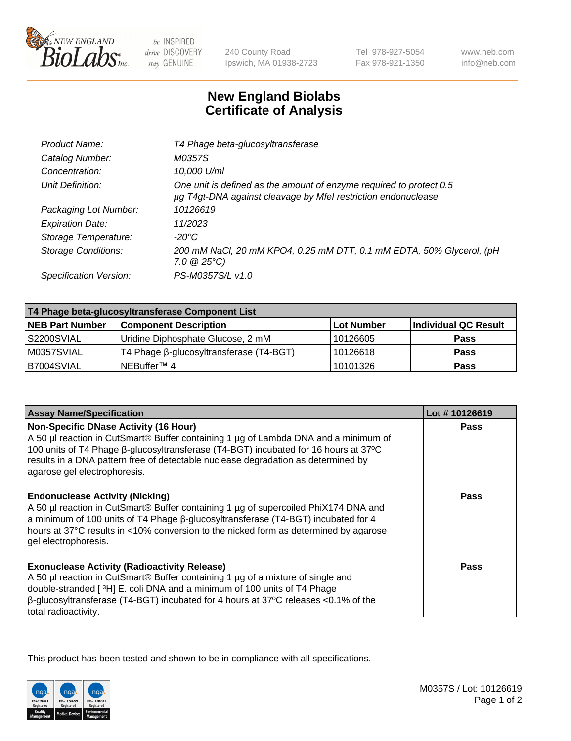

 $be$  INSPIRED drive DISCOVERY stay GENUINE

240 County Road Ipswich, MA 01938-2723 Tel 978-927-5054 Fax 978-921-1350

www.neb.com info@neb.com

## **New England Biolabs Certificate of Analysis**

| Product Name:              | T4 Phage beta-glucosyltransferase                                                                                                     |
|----------------------------|---------------------------------------------------------------------------------------------------------------------------------------|
| Catalog Number:            | M0357S                                                                                                                                |
| Concentration:             | 10,000 U/ml                                                                                                                           |
| Unit Definition:           | One unit is defined as the amount of enzyme required to protect 0.5<br>µg T4gt-DNA against cleavage by Mfel restriction endonuclease. |
| Packaging Lot Number:      | 10126619                                                                                                                              |
| <b>Expiration Date:</b>    | 11/2023                                                                                                                               |
| Storage Temperature:       | -20°C                                                                                                                                 |
| <b>Storage Conditions:</b> | 200 mM NaCl, 20 mM KPO4, 0.25 mM DTT, 0.1 mM EDTA, 50% Glycerol, (pH<br>$7.0 \ @ 25^{\circ}C$                                         |
| Specification Version:     | PS-M0357S/L v1.0                                                                                                                      |
|                            |                                                                                                                                       |

| T4 Phage beta-glucosyltransferase Component List |                                         |            |                      |  |
|--------------------------------------------------|-----------------------------------------|------------|----------------------|--|
| <b>NEB Part Number</b>                           | <b>Component Description</b>            | Lot Number | Individual QC Result |  |
| S2200SVIAL                                       | Uridine Diphosphate Glucose, 2 mM       | 10126605   | <b>Pass</b>          |  |
| M0357SVIAL                                       | T4 Phage β-glucosyltransferase (T4-BGT) | 10126618   | <b>Pass</b>          |  |
| B7004SVIAL                                       | NEBuffer <sup>™</sup> 4                 | 10101326   | Pass                 |  |

| <b>Assay Name/Specification</b>                                                                                                                                                                                                                                                                                                                 | Lot #10126619 |
|-------------------------------------------------------------------------------------------------------------------------------------------------------------------------------------------------------------------------------------------------------------------------------------------------------------------------------------------------|---------------|
| <b>Non-Specific DNase Activity (16 Hour)</b><br>A 50 µl reaction in CutSmart® Buffer containing 1 µg of Lambda DNA and a minimum of<br>100 units of T4 Phage β-glucosyltransferase (T4-BGT) incubated for 16 hours at 37°C<br>results in a DNA pattern free of detectable nuclease degradation as determined by<br>agarose gel electrophoresis. | <b>Pass</b>   |
| <b>Endonuclease Activity (Nicking)</b><br>A 50 µl reaction in CutSmart® Buffer containing 1 µg of supercoiled PhiX174 DNA and<br>a minimum of 100 units of T4 Phage ß-glucosyltransferase (T4-BGT) incubated for 4<br>hours at 37°C results in <10% conversion to the nicked form as determined by agarose<br>gel electrophoresis.              | <b>Pass</b>   |
| <b>Exonuclease Activity (Radioactivity Release)</b><br>A 50 µl reaction in CutSmart® Buffer containing 1 µg of a mixture of single and<br>double-stranded [3H] E. coli DNA and a minimum of 100 units of T4 Phage<br>$\beta$ -glucosyltransferase (T4-BGT) incubated for 4 hours at 37°C releases <0.1% of the<br>total radioactivity.          | Pass          |

This product has been tested and shown to be in compliance with all specifications.